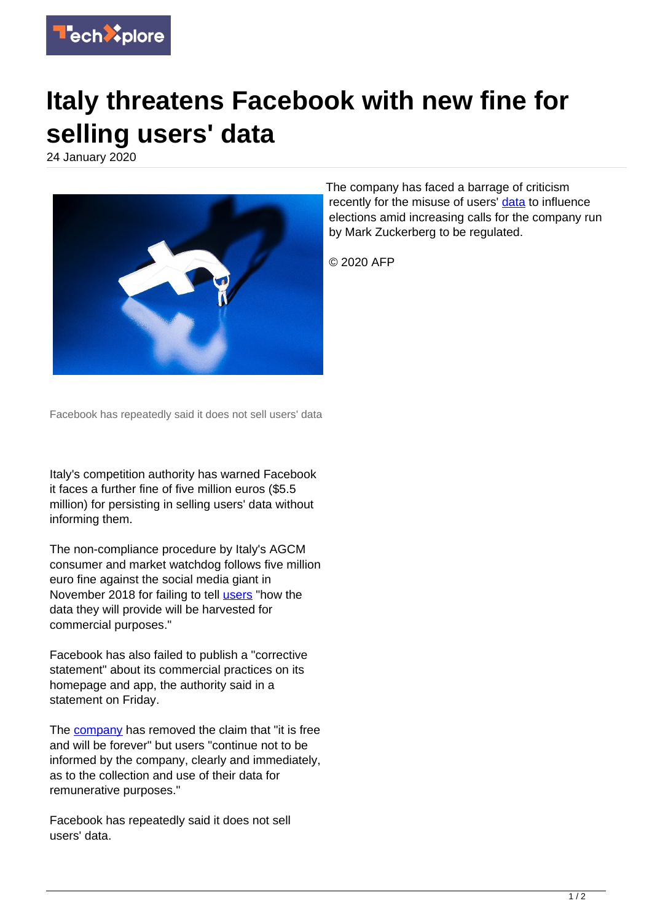

## **Italy threatens Facebook with new fine for selling users' data**

24 January 2020



Facebook has repeatedly said it does not sell users' data

Italy's competition authority has warned Facebook it faces a further fine of five million euros (\$5.5 million) for persisting in selling users' data without informing them.

The non-compliance procedure by Italy's AGCM consumer and market watchdog follows five million euro fine against the social media giant in November 2018 for failing to tell [users](https://techxplore.com/tags/users/) "how the data they will provide will be harvested for commercial purposes."

Facebook has also failed to publish a "corrective statement" about its commercial practices on its homepage and app, the authority said in a statement on Friday.

The **company** has removed the claim that "it is free and will be forever" but users "continue not to be informed by the company, clearly and immediately, as to the collection and use of their data for remunerative purposes."

Facebook has repeatedly said it does not sell users' data.

The company has faced a barrage of criticism recently for the misuse of users' [data](https://techxplore.com/tags/data/) to influence elections amid increasing calls for the company run by Mark Zuckerberg to be regulated.

© 2020 AFP